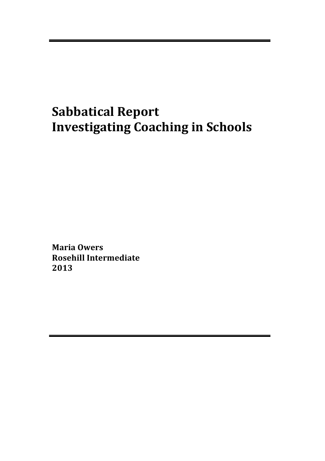## **Sabbatical!Report Investigating Coaching in Schools**

**Maria!Owers Rosehill!Intermediate 2013**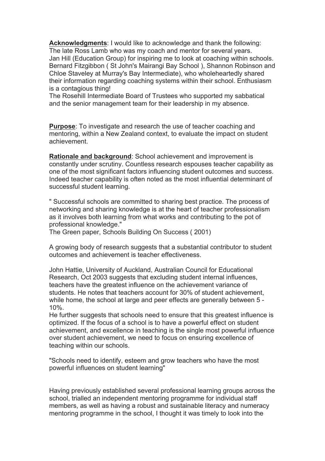**Acknowledgments**: I would like to acknowledge and thank the following: The late Ross Lamb who was my coach and mentor for several years. Jan Hill (Education Group) for inspiring me to look at coaching within schools. Bernard Fitzgibbon ( St John's Mairangi Bay School ), Shannon Robinson and Chloe Staveley at Murray's Bay Intermediate), who wholeheartedly shared their information regarding coaching systems within their school. Enthusiasm is a contagious thing!

The Rosehill Intermediate Board of Trustees who supported my sabbatical and the senior management team for their leadership in my absence.

**Purpose**: To investigate and research the use of teacher coaching and mentoring, within a New Zealand context, to evaluate the impact on student achievement.

**Rationale and background**: School achievement and improvement is constantly under scrutiny. Countless research espouses teacher capability as one of the most significant factors influencing student outcomes and success. Indeed teacher capability is often noted as the most influential determinant of successful student learning.

" Successful schools are committed to sharing best practice. The process of networking and sharing knowledge is at the heart of teacher professionalism as it involves both learning from what works and contributing to the pot of professional knowledge."

The Green paper, Schools Building On Success ( 2001)

A growing body of research suggests that a substantial contributor to student outcomes and achievement is teacher effectiveness.

John Hattie, University of Auckland, Australian Council for Educational Research, Oct 2003 suggests that excluding student internal influences, teachers have the greatest influence on the achievement variance of students. He notes that teachers account for 30% of student achievement, while home, the school at large and peer effects are generally between 5 - 10%.

He further suggests that schools need to ensure that this greatest influence is optimized. If the focus of a school is to have a powerful effect on student achievement, and excellence in teaching is the single most powerful influence over student achievement, we need to focus on ensuring excellence of teaching within our schools.

"Schools need to identify, esteem and grow teachers who have the most powerful influences on student learning"

Having previously established several professional learning groups across the school, trialled an independent mentoring programme for individual staff members, as well as having a robust and sustainable literacy and numeracy mentoring programme in the school, I thought it was timely to look into the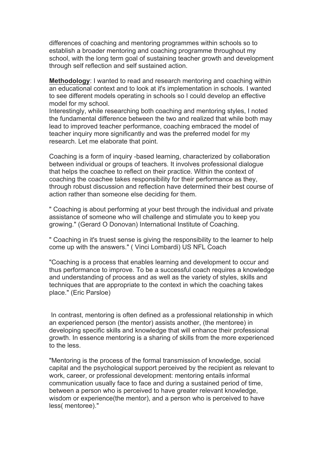differences of coaching and mentoring programmes within schools so to establish a broader mentoring and coaching programme throughout my school, with the long term goal of sustaining teacher growth and development through self reflection and self sustained action.

**Methodology**: I wanted to read and research mentoring and coaching within an educational context and to look at it's implementation in schools. I wanted to see different models operating in schools so I could develop an effective model for my school.

Interestingly, while researching both coaching and mentoring styles, I noted the fundamental difference between the two and realized that while both may lead to improved teacher performance, coaching embraced the model of teacher inquiry more significantly and was the preferred model for my research. Let me elaborate that point.

Coaching is a form of inquiry -based learning, characterized by collaboration between individual or groups of teachers. It involves professional dialogue that helps the coachee to reflect on their practice. Within the context of coaching the coachee takes responsibility for their performance as they, through robust discussion and reflection have determined their best course of action rather than someone else deciding for them.

" Coaching is about performing at your best through the individual and private assistance of someone who will challenge and stimulate you to keep you growing." (Gerard O Donovan) International Institute of Coaching.

" Coaching in it's truest sense is giving the responsibility to the learner to help come up with the answers." ( Vinci Lombardi) US NFL Coach

"Coaching is a process that enables learning and development to occur and thus performance to improve. To be a successful coach requires a knowledge and understanding of process and as well as the variety of styles, skills and techniques that are appropriate to the context in which the coaching takes place." (Eric Parsloe)

In contrast, mentoring is often defined as a professional relationship in which an experienced person (the mentor) assists another, (the mentoree) in developing specific skills and knowledge that will enhance their professional growth. In essence mentoring is a sharing of skills from the more experienced to the less.

"Mentoring is the process of the formal transmission of knowledge, social capital and the psychological support perceived by the recipient as relevant to work, career, or professional development: mentoring entails informal communication usually face to face and during a sustained period of time, between a person who is perceived to have greater relevant knowledge, wisdom or experience(the mentor), and a person who is perceived to have less( mentoree)."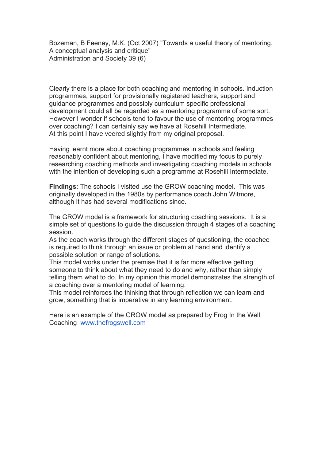Bozeman, B Feeney, M.K. (Oct 2007) "Towards a useful theory of mentoring. A conceptual analysis and critique" Administration and Society 39 (6)

Clearly there is a place for both coaching and mentoring in schools. Induction programmes, support for provisionally registered teachers, support and guidance programmes and possibly curriculum specific professional development could all be regarded as a mentoring programme of some sort. However I wonder if schools tend to favour the use of mentoring programmes over coaching? I can certainly say we have at Rosehill Intermediate. At this point I have veered slightly from my original proposal.

Having learnt more about coaching programmes in schools and feeling reasonably confident about mentoring, I have modified my focus to purely researching coaching methods and investigating coaching models in schools with the intention of developing such a programme at Rosehill Intermediate.

**Findings**: The schools I visited use the GROW coaching model. This was originally developed in the 1980s by performance coach John Witmore, although it has had several modifications since.

The GROW model is a framework for structuring coaching sessions. It is a simple set of questions to guide the discussion through 4 stages of a coaching session.

As the coach works through the different stages of questioning, the coachee is required to think through an issue or problem at hand and identify a possible solution or range of solutions.

This model works under the premise that it is far more effective getting someone to think about what they need to do and why, rather than simply telling them what to do. In my opinion this model demonstrates the strength of a coaching over a mentoring model of learning.

This model reinforces the thinking that through reflection we can learn and grow, something that is imperative in any learning environment.

Here is an example of the GROW model as prepared by Frog In the Well Coaching www.thefrogswell.com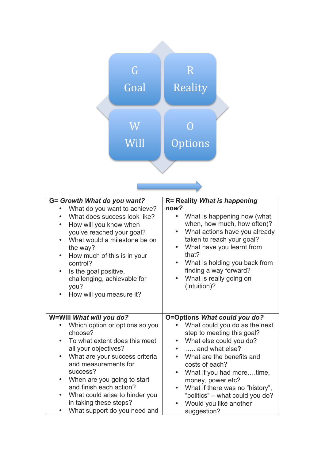| G                                                                                                                                                                                                                                                                                                                                     | R                                                                                                                                                                                                                                                                                                             |
|---------------------------------------------------------------------------------------------------------------------------------------------------------------------------------------------------------------------------------------------------------------------------------------------------------------------------------------|---------------------------------------------------------------------------------------------------------------------------------------------------------------------------------------------------------------------------------------------------------------------------------------------------------------|
| Goal                                                                                                                                                                                                                                                                                                                                  | Reality                                                                                                                                                                                                                                                                                                       |
| ${\rm W}$                                                                                                                                                                                                                                                                                                                             | $\bigcap$                                                                                                                                                                                                                                                                                                     |
| Will                                                                                                                                                                                                                                                                                                                                  | Options                                                                                                                                                                                                                                                                                                       |
| G= Growth What do you want?<br>What do you want to achieve?<br>What does success look like?<br>How will you know when<br>you've reached your goal?<br>What would a milestone be on<br>the way?<br>How much of this is in your<br>control?<br>Is the goal positive,<br>challenging, achievable for<br>you?<br>How will you measure it? | R= Reality What is happening<br>now?<br>What is happening now (what,<br>when, how much, how often)?<br>What actions have you already<br>taken to reach your goal?<br>What have you learnt from<br>that?<br>What is holding you back from<br>finding a way forward?<br>What is really going on<br>(intuition)? |
| W=Will What will you do?                                                                                                                                                                                                                                                                                                              | O=Options What could you do?                                                                                                                                                                                                                                                                                  |
| Which option or options so you                                                                                                                                                                                                                                                                                                        | What could you do as the next                                                                                                                                                                                                                                                                                 |
| choose?                                                                                                                                                                                                                                                                                                                               | step to meeting this goal?                                                                                                                                                                                                                                                                                    |
| To what extent does this meet                                                                                                                                                                                                                                                                                                         | What else could you do?                                                                                                                                                                                                                                                                                       |
| all your objectives?                                                                                                                                                                                                                                                                                                                  | and what else?                                                                                                                                                                                                                                                                                                |
| What are your success criteria                                                                                                                                                                                                                                                                                                        | What are the benefits and                                                                                                                                                                                                                                                                                     |
| $\bullet$                                                                                                                                                                                                                                                                                                                             | costs of each?                                                                                                                                                                                                                                                                                                |
| and measurements for                                                                                                                                                                                                                                                                                                                  | What if you had moretime,                                                                                                                                                                                                                                                                                     |
| success?                                                                                                                                                                                                                                                                                                                              | ٠                                                                                                                                                                                                                                                                                                             |
| When are you going to start                                                                                                                                                                                                                                                                                                           | money, power etc?                                                                                                                                                                                                                                                                                             |
| and finish each action?                                                                                                                                                                                                                                                                                                               | What if there was no "history",                                                                                                                                                                                                                                                                               |
| What could arise to hinder you                                                                                                                                                                                                                                                                                                        | "politics" - what could you do?                                                                                                                                                                                                                                                                               |
| in taking these steps?                                                                                                                                                                                                                                                                                                                | Would you like another                                                                                                                                                                                                                                                                                        |
| What support do you need and                                                                                                                                                                                                                                                                                                          | suggestion?                                                                                                                                                                                                                                                                                                   |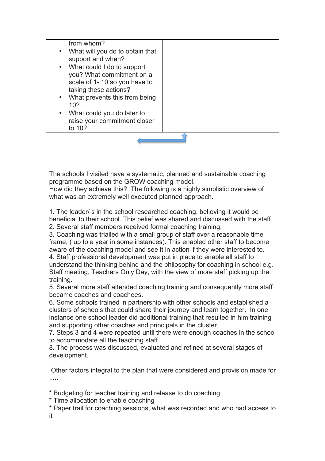

The schools I visited have a systematic, planned and sustainable coaching programme based on the GROW coaching model.

How did they achieve this? The following is a highly simplistic overview of what was an extremely well executed planned approach.

1. The leader/ s in the school researched coaching, believing it would be beneficial to their school. This belief was shared and discussed with the staff. 2. Several staff members received formal coaching training.

3. Coaching was trialled with a small group of staff over a reasonable time frame, ( up to a year in some instances). This enabled other staff to become aware of the coaching model and see it in action if they were interested to. 4. Staff professional development was put in place to enable all staff to understand the thinking behind and the philosophy for coaching in school e.g. Staff meeting, Teachers Only Day, with the view of more staff picking up the training.

5. Several more staff attended coaching training and consequently more staff became coaches and coachees.

6. Some schools trained in partnership with other schools and established a clusters of schools that could share their journey and learn together. In one instance one school leader did additional training that resulted in him training and supporting other coaches and principals in the cluster.

7. Steps 3 and 4 were repeated until there were enough coaches in the school to accommodate all the teaching staff.

8. The process was discussed, evaluated and refined at several stages of development.

Other factors integral to the plan that were considered and provision made for .....

\* Budgeting for teacher training and release to do coaching

- \* Time allocation to enable coaching
- \* Paper trail for coaching sessions, what was recorded and who had access to it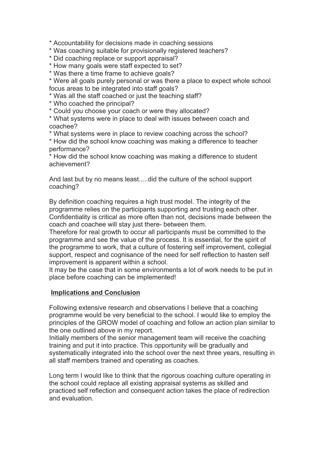\* Accountability for decisions made in coaching sessions

\* Was coaching suitable for provisionally registered teachers?

\* Did coaching replace or support appraisal?

\* How many goals were staff expected to set?

\* Was there a time frame to achieve goals?

\* Were all goals purely personal or was there a place to expect whole school focus areas to be integrated into staff goals?

\* Was all the staff coached or just the teaching staff?

\* Who coached the principal?

\* Could you choose your coach or were they allocated?

\* What systems were in place to deal with issues between coach and coachee?

\* What systems were in place to review coaching across the school?

\* How did the school know coaching was making a difference to teacher performance?

\* How did the school know coaching was making a difference to student achievement?

And last but by no means least.....did the culture of the school support coaching?

By definition coaching requires a high trust model. The integrity of the programme relies on the participants supporting and trusting each other. Confidentiality is critical as more often than not, decisions made between the coach and coachee will stay just there- between them.

Therefore for real growth to occur all participants must be committed to the programme and see the value of the process. It is essential, for the spirit of the programme to work, that a culture of fostering self improvement, collegial support, respect and cognisance of the need for self reflection to hasten self improvement is apparent within a school.

It may be the case that in some environments a lot of work needs to be put in place before coaching can be implemented!

## **Implications and Conclusion**

Following extensive research and observations I believe that a coaching programme would be very beneficial to the school. I would like to employ the principles of the GROW model of coaching and follow an action plan similar to the one outlined above in my report.

Initially members of the senior management team will receive the coaching training and put it into practice. This opportunity will be gradually and systematically integrated into the school over the next three years, resulting in all staff members trained and operating as coaches.

Long term I would like to think that the rigorous coaching culture operating in the school could replace all existing appraisal systems as skilled and practiced self reflection and consequent action takes the place of redirection and evaluation.